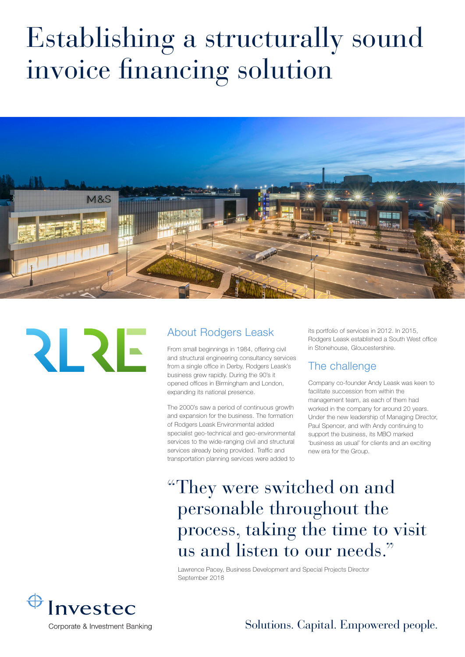## Establishing a structurally sound invoice financing solution



# **STSE**

#### About Rodgers Leask

From small beginnings in 1984, offering civil and structural engineering consultancy services from a single office in Derby, Rodgers Leask's business grew rapidly. During the 90's it opened offices in Birmingham and London, expanding its national presence.

The 2000's saw a period of continuous growth and expansion for the business. The formation of Rodgers Leask Environmental added specialist geo-technical and geo-environmental services to the wide-ranging civil and structural services already being provided. Traffic and transportation planning services were added to

its portfolio of services in 2012. In 2015, Rodgers Leask established a South West office in Stonehouse, Gloucestershire.

#### The challenge

Company co-founder Andy Leask was keen to facilitate succession from within the management team, as each of them had worked in the company for around 20 years. Under the new leadership of Managing Director, Paul Spencer, and with Andy continuing to support the business, its MBO marked 'business as usual' for clients and an exciting new era for the Group.

### "They were switched on and personable throughout the process, taking the time to visit us and listen to our needs."

Lawrence Pacey, Business Development and Special Projects Director September 2018



Solutions. Capital. Empowered people.